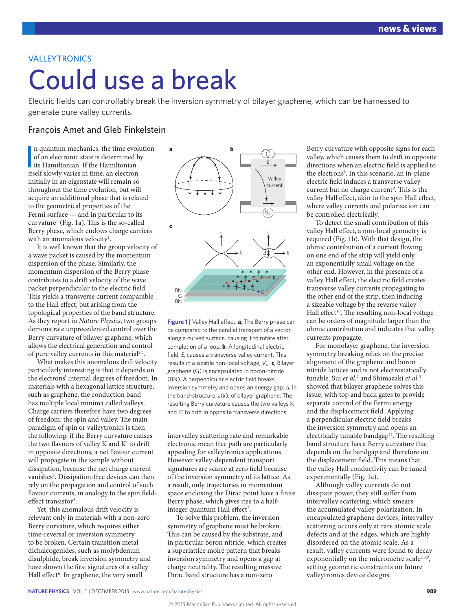## VALLEYTRONICS

# Could use a break

Electric fields can controllably break the inversion symmetry of bilayer graphene, which can be harnessed to generate pure valley currents.

### François Amet and Gleb Finkelstein

In quantum mechanics, the time evolution of an electronic state is determined by its Hamiltonian. If the Hamiltonian itself slowly varies in time, an electron n quantum mechanics, the time evolution of an electronic state is determined by its Hamiltonian. If the Hamiltonian initially in an eigenstate will remain so throughout the time evolution, but will acquire an additional phase that is related to the geometrical properties of the Fermi surface — and in particular to its curvature1 (Fig. 1a). This is the so-called Berry phase, which endows charge carriers with an anomalous velocity<sup>1</sup>.

It is well known that the group velocity of a wave packet is caused by the momentum dispersion of the phase. Similarly, the momentum dispersion of the Berry phase contributes to a drift velocity of the wave packet perpendicular to the electric field. This yields a transverse current comparable to the Hall effect, but arising from the topological properties of the band structure. As they report in *Nature Physics*, two groups demonstrate unprecedented control over the Berry curvature of bilayer graphene, which allows the electrical generation and control of pure valley currents in this material<sup>2,3</sup>.

What makes this anomalous drift velocity particularly interesting is that it depends on the electrons' internal degrees of freedom. In materials with a hexagonal lattice structure, such as graphene, the conduction band has multiple local minima called valleys. Charge carriers therefore have two degrees of freedom: the spin and valley. The main paradigm of spin or valleytronics is then the following: if the Berry curvature causes the two flavours of valley K and Kʹ to drift in opposite directions, a net flavour current will propagate in the sample without dissipation, because the net charge current vanishes<sup>4</sup>. Dissipation-free devices can then rely on the propagation and control of such flavour currents, in analogy to the spin fieldeffect transistor<sup>5</sup>.

Yet, this anomalous drift velocity is relevant only in materials with a non-zero Berry curvature, which requires either time-reversal or inversion symmetry to be broken. Certain transition metal dichalcogenides, such as molybdenum disulphide, break inversion symmetry and have shown the first signatures of a valley Hall effect<sup>6</sup>. In graphene, the very small



**Figure 1 |** Valley Hall effect. **a**, The Berry phase can be compared to the parallel transport of a vector along a curved surface, causing it to rotate after completion of a loop. **b**, A longitudinal electric field, *E*, causes a transverse valley current. This results in a sizable non-local voltage,  $V_{\text{NL}}$  c, Bilayer graphene (G) is encapsulated in boron-nitride (BN). A perpendicular electric field breaks inversion symmetry and opens an energy gap, *Δ*, in the band-structure, *ε*(*k*), of bilayer graphene. The resulting Berry curvature causes the two valleys K and K' to drift in opposite transverse directions.

intervalley scattering rate and remarkable electronic mean free path are particularly appealing for valleytronics applications. However valley-dependent transport signatures are scarce at zero field because of the inversion symmetry of its lattice. As a result, only trajectories in momentum space enclosing the Dirac point have a finite Berry phase, which gives rise to a halfinteger quantum Hall effect<sup>7</sup>.

To solve this problem, the inversion symmetry of graphene must be broken. This can be caused by the substrate, and in particular boron nitride, which creates a superlattice moiré pattern that breaks inversion symmetry and opens a gap at charge neutrality. The resulting massive Dirac band structure has a non-zero

Berry curvature with opposite signs for each valley, which causes them to drift in opposite directions when an electric field is applied to the electrons<sup>8</sup>. In this scenario, an in-plane electric field induces a transverse valley current but no charge current<sup>9</sup>. This is the valley Hall effect, akin to the spin Hall effect, where valley currents and polarization can be controlled electrically.

To detect the small contribution of this valley Hall effect, a non-local geometry is required (Fig. 1b). With that design, the ohmic contribution of a current flowing on one end of the strip will yield only an exponentially small voltage on the other end. However, in the presence of a valley Hall effect, the electric field creates transverse valley currents propagating to the other end of the strip, then inducing a sizeable voltage by the reverse valley Hall effect<sup>10</sup>. The resulting non-local voltage can be orders of magnitude larger than the ohmic contribution and indicates that valley currents propagate.

For monolayer graphene, the inversion symmetry breaking relies on the precise alignment of the graphene and boron nitride lattices and is not electrostatically tunable. Sui *et al.*<sup>2</sup> and Shimazaki *et al.*<sup>3</sup> showed that bilayer graphene solves this issue, with top and back gates to provide separate control of the Fermi energy and the displacement field. Applying a perpendicular electric field breaks the inversion symmetry and opens an electrically tunable bandgap $11$ . The resulting band structure has a Berry curvature that depends on the bandgap and therefore on the displacement field. This means that the valley Hall conductivity can be tuned experimentally (Fig. 1c).

Although valley currents do not dissipate power, they still suffer from intervalley scattering, which smears the accumulated valley polarization. In encapsulated graphene devices, intervalley scattering occurs only at rare atomic scale defects and at the edges, which are highly disordered on the atomic scale. As a result, valley currents were found to decay exponentially on the micrometre scale<sup>2,3,9</sup>, setting geometric constraints on future valleytronics device designs.